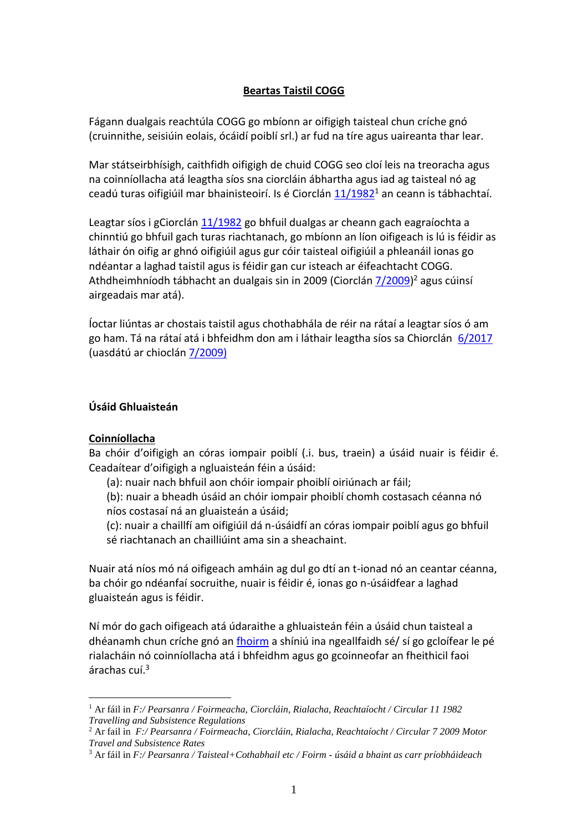# **Beartas Taistil COGG**

Fágann dualgais reachtúla COGG go mbíonn ar oifigigh taisteal chun críche gnó (cruinnithe, seisiúin eolais, ócáidí poiblí srl.) ar fud na tíre agus uaireanta thar lear.

Mar státseirbhísigh, caithfidh oifigigh de chuid COGG seo cloí leis na treoracha agus na coinníollacha atá leagtha síos sna ciorcláin ábhartha agus iad ag taisteal nó ag ceadú turas oifigiúil mar bhainisteoirí. Is é Ciorclán  $11/1982<sup>1</sup>$  an ceann is tábhachtaí.

Leagtar síos i gCiorclán [11/1982](file:///C:/Users/pol.COGG/AppData/Local/Microsoft/Windows/Pearsanra/Foirmeacha,%20Ciorcláin,%20Rialacha,%20Reachtaíocht/Circular%2011%201982%20Travelling%20and%20Subsistence%20Regulations.pdf) go bhfuil dualgas ar cheann gach eagraíochta a chinntiú go bhfuil gach turas riachtanach, go mbíonn an líon oifigeach is lú is féidir as láthair ón oifig ar ghnó oifigiúil agus gur cóir taisteal oifigiúil a phleanáil ionas go ndéantar a laghad taistil agus is féidir gan cur isteach ar éifeachtacht COGG. Athdheimhníodh tábhacht an dualgais sin in 2009 (Ciorclán [7/2009\)](file:///C:/Users/pol.COGG/AppData/Local/Microsoft/Windows/Pearsanra/Foirmeacha,%20Ciorcláin,%20Rialacha,%20Reachtaíocht/Circular%207%202009%20Motor%20Travel%20and%20Subsistence%20Rates.pdf)<sup>2</sup> agus cúinsí airgeadais mar atá).

Íoctar liúntas ar chostais taistil agus chothabhála de réir na rátaí a leagtar síos ó am go ham. Tá na rátaí atá i bhfeidhm don am i láthair leagtha síos sa Chiorclán 6/2017 (uasdátú ar chioclán 7/2009)

#### **Úsáid Ghluaisteán**

#### **Coinníollacha**

<u>.</u>

Ba chóir d'oifigigh an córas iompair poiblí (.i. bus, traein) a úsáid nuair is féidir é. Ceadaítear d'oifigigh a ngluaisteán féin a úsáid:

(a): nuair nach bhfuil aon chóir iompair phoiblí oiriúnach ar fáil;

(b): nuair a bheadh úsáid an chóir iompair phoiblí chomh costasach céanna nó níos costasaí ná an gluaisteán a úsáid;

(c): nuair a chaillfí am oifigiúil dá n-úsáidfí an córas iompair poiblí agus go bhfuil sé riachtanach an chailliúint ama sin a sheachaint.

Nuair atá níos mó ná oifigeach amháin ag dul go dtí an t-ionad nó an ceantar céanna, ba chóir go ndéanfaí socruithe, nuair is féidir é, ionas go n-úsáidfear a laghad gluaisteán agus is féidir.

Ní mór do gach oifigeach atá údaraithe a ghluaisteán féin a úsáid chun taisteal a dhéanamh chun críche gnó an [fhoirm](file:///C:/Users/pol.COGG/AppData/Local/Microsoft/Windows/Pearsanra/Taisteal+Cothabhail%20etc/Foirm%20-%20úsáid%20a%20bhaint%20as%20carr%20príobháideach.doc) a shíniú ina ngeallfaidh sé/ sí go gcloífear le pé rialacháin nó coinníollacha atá i bhfeidhm agus go gcoinneofar an fheithicil faoi árachas cuí.<sup>3</sup>

<sup>1</sup> Ar fáil in *F:/ Pearsanra / Foirmeacha, Ciorcláin, Rialacha, Reachtaíocht / Circular 11 1982 Travelling and Subsistence Regulations*

<sup>2</sup> Ar fail in *F:/ Pearsanra / Foirmeacha, Ciorcláin, Rialacha, Reachtaíocht / Circular 7 2009 Motor Travel and Subsistence Rates*

<sup>3</sup> Ar fáil in *F:/ Pearsanra / Taisteal+Cothabhail etc / Foirm - úsáid a bhaint as carr príobháideach*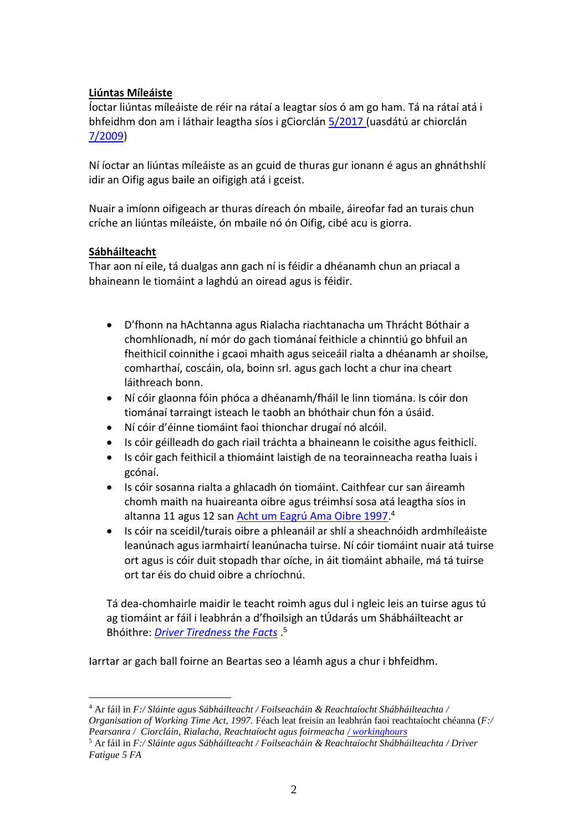# **Liúntas Míleáiste**

Íoctar liúntas míleáiste de réir na rátaí a leagtar síos ó am go ham. Tá na rátaí atá i bhfeidhm don am i láthair leagtha síos i gCiorclán 5/2017 (uasdátú ar chiorclán 7/2009)

Ní íoctar an liúntas míleáiste as an gcuid de thuras gur ionann é agus an ghnáthshlí idir an Oifig agus baile an oifigigh atá i gceist.

Nuair a imíonn oifigeach ar thuras díreach ón mbaile, áireofar fad an turais chun críche an liúntas míleáiste, ón mbaile nó ón Oifig, cibé acu is giorra.

### **Sábháilteacht**

<u>.</u>

Thar aon ní eile, tá dualgas ann gach ní is féidir a dhéanamh chun an priacal a bhaineann le tiomáint a laghdú an oiread agus is féidir.

- D'fhonn na hAchtanna agus Rialacha riachtanacha um Thrácht Bóthair a chomhlíonadh, ní mór do gach tiománaí feithicle a chinntiú go bhfuil an fheithicil coinnithe i gcaoi mhaith agus seiceáil rialta a dhéanamh ar shoilse, comharthaí, coscáin, ola, boinn srl. agus gach locht a chur ina cheart láithreach bonn.
- Ní cóir glaonna fóin phóca a dhéanamh/fháil le linn tiomána. Is cóir don tiománaí tarraingt isteach le taobh an bhóthair chun fón a úsáid.
- Ní cóir d'éinne tiomáint faoi thionchar drugaí nó alcóil.
- Is cóir géilleadh do gach riail tráchta a bhaineann le coisithe agus feithiclí.
- Is cóir gach feithicil a thiomáint laistigh de na teorainneacha reatha luais i gcónaí.
- Is cóir sosanna rialta a ghlacadh ón tiomáint. Caithfear cur san áireamh chomh maith na huaireanta oibre agus tréimhsí sosa atá leagtha síos in altanna 11 agus 12 san [Acht um Eagrú Ama Oibre 1997.](file:///C:/Users/pol.COGG/AppData/Local/Microsoft/Windows/Sláinte%20agus%20Sábháilteacht/Foilseacháin%20&%20Reachtaíocht%20Shabháilteachta/Organisation%20of%20Working%20Time%20Act,%201997.pdf)<sup>4</sup>
- Is cóir na sceidil/turais oibre a phleanáil ar shlí a sheachnóidh ardmhíleáiste leanúnach agus iarmhairtí leanúnacha tuirse. Ní cóir tiomáint nuair atá tuirse ort agus is cóir duit stopadh thar oíche, in áit tiomáint abhaile, má tá tuirse ort tar éis do chuid oibre a chríochnú.

Tá dea-chomhairle maidir le teacht roimh agus dul i ngleic leis an tuirse agus tú ag tiomáint ar fáil i leabhrán a d'fhoilsigh an tÚdarás um Shábháilteacht ar Bhóithre: *[Driver Tiredness the Facts](file:///C:/Users/pol.COGG/AppData/Local/Microsoft/Windows/Sláinte%20agus%20Sábháilteacht/Foilseacháin%20&%20Reachtaíocht%20Shabháilteachta/Driver%20Fatigue%205%20FA.pdf)* . 5

Iarrtar ar gach ball foirne an Beartas seo a léamh agus a chur i bhfeidhm.

<sup>4</sup> Ar fáil in *F:/ Sláinte agus Sábháilteacht / Foilseacháin & Reachtaíocht Shábháilteachta / Organisation of Working Time Act, 1997.* Féach leat freisin an leabhrán faoi reachtaíocht chéanna (*F:/ Pearsanra / Ciorcláin, Rialacha, Reachtaíocht agus foirmeacha [/ workinghours](file:///C:/Users/pol.COGG/AppData/Local/Microsoft/Windows/Pearsanra/Foirmeacha,%20Ciorcláin,%20Rialacha,%20Reachtaíocht/workinghours.doc)*

<sup>5</sup> Ar fáil in *F:/ Sláinte agus Sábháilteacht / Foilseacháin & Reachtaíocht Shábháilteachta / Driver Fatigue 5 FA*